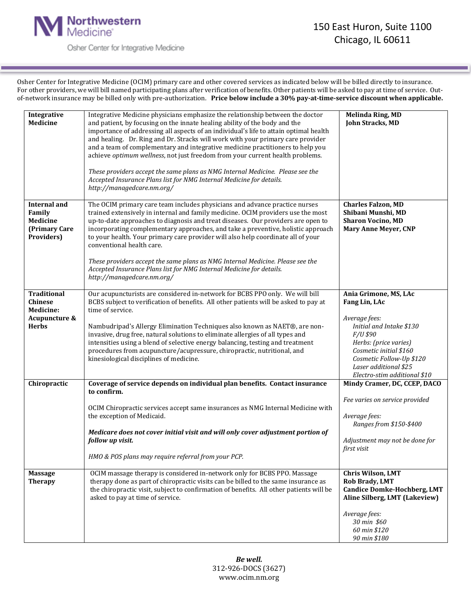

Osher Center for Integrative Medicine

Osher Center for Integrative Medicine (OCIM) primary care and other covered services as indicated below will be billed directly to insurance. For other providers, we will bill named participating plans after verification of benefits. Other patients will be asked to pay at time of service. Outof-network insurance may be billed only with pre-authorization. **Price below include a 30% pay-at-time-service discount when applicable.**

| Integrative<br><b>Medicine</b>                                                            | Integrative Medicine physicians emphasize the relationship between the doctor<br>and patient, by focusing on the innate healing ability of the body and the<br>importance of addressing all aspects of an individual's life to attain optimal health<br>and healing. Dr. Ring and Dr. Stracks will work with your primary care provider<br>and a team of complementary and integrative medicine practitioners to help you<br>achieve optimum wellness, not just freedom from your current health problems.<br>These providers accept the same plans as NMG Internal Medicine. Please see the<br>Accepted Insurance Plans list for NMG Internal Medicine for details.<br>http://managedcare.nm.org/ | <b>Melinda Ring, MD</b><br>John Stracks, MD                                                                                                                                                                                             |
|-------------------------------------------------------------------------------------------|----------------------------------------------------------------------------------------------------------------------------------------------------------------------------------------------------------------------------------------------------------------------------------------------------------------------------------------------------------------------------------------------------------------------------------------------------------------------------------------------------------------------------------------------------------------------------------------------------------------------------------------------------------------------------------------------------|-----------------------------------------------------------------------------------------------------------------------------------------------------------------------------------------------------------------------------------------|
| <b>Internal and</b><br>Family<br>Medicine<br>(Primary Care<br>Providers)                  | The OCIM primary care team includes physicians and advance practice nurses<br>trained extensively in internal and family medicine. OCIM providers use the most<br>up-to-date approaches to diagnosis and treat diseases. Our providers are open to<br>incorporating complementary approaches, and take a preventive, holistic approach<br>to your health. Your primary care provider will also help coordinate all of your<br>conventional health care.<br>These providers accept the same plans as NMG Internal Medicine. Please see the<br>Accepted Insurance Plans list for NMG Internal Medicine for details.<br>http://managedcare.nm.org/                                                    | <b>Charles Falzon, MD</b><br>Shibani Munshi, MD<br><b>Sharon Vocino, MD</b><br><b>Mary Anne Meyer, CNP</b>                                                                                                                              |
| <b>Traditional</b><br><b>Chinese</b><br><b>Medicine:</b><br>Acupuncture &<br><b>Herbs</b> | Our acupuncturists are considered in-network for BCBS PPO only. We will bill<br>BCBS subject to verification of benefits. All other patients will be asked to pay at<br>time of service.<br>Nambudripad's Allergy Elimination Techniques also known as NAET®, are non-<br>invasive, drug free, natural solutions to eliminate allergies of all types and<br>intensities using a blend of selective energy balancing, testing and treatment<br>procedures from acupuncture/acupressure, chiropractic, nutritional, and<br>kinesiological disciplines of medicine.                                                                                                                                   | Ania Grimone, MS, LAc<br>Fang Lin, LAc<br>Average fees:<br>Initial and Intake \$130<br>F/U \$90<br>Herbs: (price varies)<br>Cosmetic initial \$160<br>Cosmetic Follow-Up \$120<br>Laser additional \$25<br>Electro-stim additional \$10 |
| Chiropractic                                                                              | Coverage of service depends on individual plan benefits. Contact insurance<br>to confirm.<br>OCIM Chiropractic services accept same insurances as NMG Internal Medicine with<br>the exception of Medicaid.<br>Medicare does not cover initial visit and will only cover adjustment portion of<br>follow up visit.<br>HMO & POS plans may require referral from your PCP.                                                                                                                                                                                                                                                                                                                           | Mindy Cramer, DC, CCEP, DACO<br>Fee varies on service provided<br>Average fees:<br>Ranges from \$150-\$400<br>Adjustment may not be done for<br>first visit                                                                             |
| <b>Massage</b><br><b>Therapy</b>                                                          | OCIM massage therapy is considered in-network only for BCBS PPO. Massage<br>therapy done as part of chiropractic visits can be billed to the same insurance as<br>the chiropractic visit, subject to confirmation of benefits. All other patients will be<br>asked to pay at time of service.                                                                                                                                                                                                                                                                                                                                                                                                      | Chris Wilson, LMT<br><b>Rob Brady, LMT</b><br><b>Candice Domke-Hochberg, LMT</b><br>Aline Silberg, LMT (Lakeview)<br>Average fees:<br>30 min \$60<br>60 min \$120<br>90 min \$180                                                       |